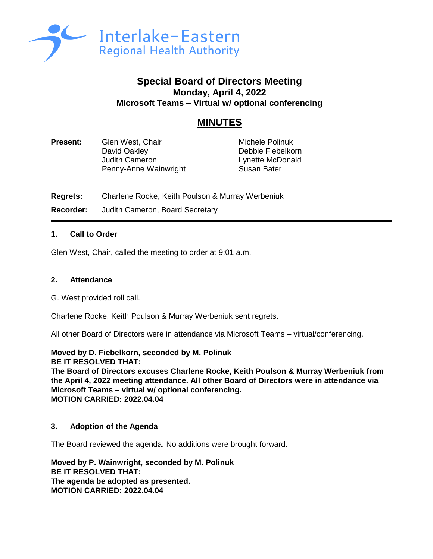

## **Special Board of Directors Meeting Monday, April 4, 2022 Microsoft Teams – Virtual w/ optional conferencing**

# **MINUTES**

| <b>Present:</b> | Glen West, Chair                      | Michele Polinuk                       |
|-----------------|---------------------------------------|---------------------------------------|
|                 | David Oakley<br><b>Judith Cameron</b> | Debbie Fiebelkorn<br>Lynette McDonald |
|                 | Penny-Anne Wainwright                 | Susan Bater                           |

**Regrets:** Charlene Rocke, Keith Poulson & Murray Werbeniuk **Recorder:** Judith Cameron, Board Secretary

## **1. Call to Order**

Glen West, Chair, called the meeting to order at 9:01 a.m.

#### **2. Attendance**

G. West provided roll call.

Charlene Rocke, Keith Poulson & Murray Werbeniuk sent regrets.

All other Board of Directors were in attendance via Microsoft Teams – virtual/conferencing.

**Moved by D. Fiebelkorn, seconded by M. Polinuk BE IT RESOLVED THAT: The Board of Directors excuses Charlene Rocke, Keith Poulson & Murray Werbeniuk from the April 4, 2022 meeting attendance. All other Board of Directors were in attendance via Microsoft Teams – virtual w/ optional conferencing. MOTION CARRIED: 2022.04.04**

## **3. Adoption of the Agenda**

The Board reviewed the agenda. No additions were brought forward.

**Moved by P. Wainwright, seconded by M. Polinuk BE IT RESOLVED THAT: The agenda be adopted as presented. MOTION CARRIED: 2022.04.04**